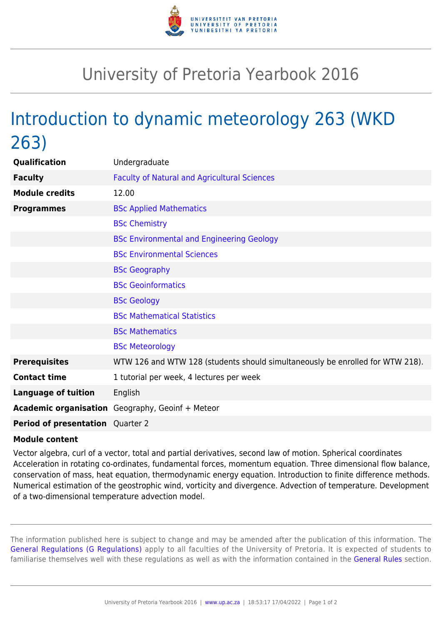

## University of Pretoria Yearbook 2016

## Introduction to dynamic meteorology 263 (WKD 263)

| Qualification                           | Undergraduate                                                                 |
|-----------------------------------------|-------------------------------------------------------------------------------|
| <b>Faculty</b>                          | <b>Faculty of Natural and Agricultural Sciences</b>                           |
| <b>Module credits</b>                   | 12.00                                                                         |
| <b>Programmes</b>                       | <b>BSc Applied Mathematics</b>                                                |
|                                         | <b>BSc Chemistry</b>                                                          |
|                                         | <b>BSc Environmental and Engineering Geology</b>                              |
|                                         | <b>BSc Environmental Sciences</b>                                             |
|                                         | <b>BSc Geography</b>                                                          |
|                                         | <b>BSc Geoinformatics</b>                                                     |
|                                         | <b>BSc Geology</b>                                                            |
|                                         | <b>BSc Mathematical Statistics</b>                                            |
|                                         | <b>BSc Mathematics</b>                                                        |
|                                         | <b>BSc Meteorology</b>                                                        |
| <b>Prerequisites</b>                    | WTW 126 and WTW 128 (students should simultaneously be enrolled for WTW 218). |
| <b>Contact time</b>                     | 1 tutorial per week, 4 lectures per week                                      |
| <b>Language of tuition</b>              | English                                                                       |
|                                         | <b>Academic organisation</b> Geography, Geoinf + Meteor                       |
| <b>Period of presentation</b> Quarter 2 |                                                                               |

## **Module content**

Vector algebra, curl of a vector, total and partial derivatives, second law of motion. Spherical coordinates Acceleration in rotating co-ordinates, fundamental forces, momentum equation. Three dimensional flow balance, conservation of mass, heat equation, thermodynamic energy equation. Introduction to finite difference methods. Numerical estimation of the geostrophic wind, vorticity and divergence. Advection of temperature. Development of a two-dimensional temperature advection model.

The information published here is subject to change and may be amended after the publication of this information. The [General Regulations \(G Regulations\)](https://www.up.ac.za/parents/yearbooks/2016/rules/view/REG) apply to all faculties of the University of Pretoria. It is expected of students to familiarise themselves well with these regulations as well as with the information contained in the [General Rules](https://www.up.ac.za/parents/yearbooks/2016/rules/view/RUL) section.